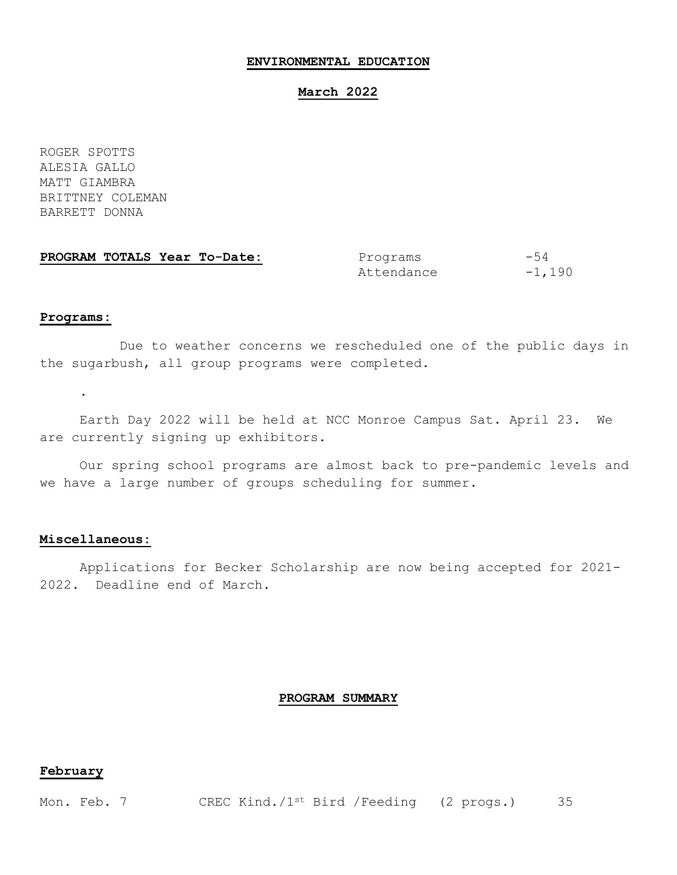## **ENVIRONMENTAL EDUCATION**

### **March 2022**

ROGER SPOTTS ALESIA GALLO MATT GIAMBRA BRITTNEY COLEMAN BARRETT DONNA

| PROGRAM TOTALS Year To-Date: | Programs   | $-54$    |
|------------------------------|------------|----------|
|                              | Attendance | $-1,190$ |

#### **Programs:**

.

Due to weather concerns we rescheduled one of the public days in the sugarbush, all group programs were completed.

Earth Day 2022 will be held at NCC Monroe Campus Sat. April 23. We are currently signing up exhibitors.

Our spring school programs are almost back to pre-pandemic levels and we have a large number of groups scheduling for summer.

### **Miscellaneous:**

Applications for Becker Scholarship are now being accepted for 2021- 2022. Deadline end of March.

## **PROGRAM SUMMARY**

# **February**

Mon. Feb. 7 CREC Kind./1<sup>st</sup> Bird /Feeding (2 progs.) 35